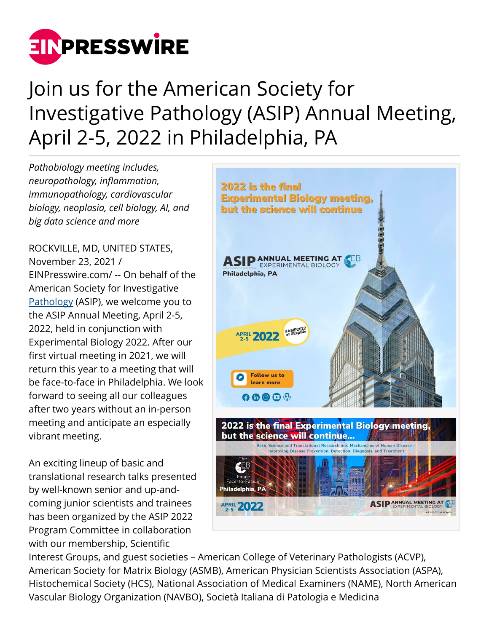

## Join us for the American Society for Investigative Pathology (ASIP) Annual Meeting, April 2-5, 2022 in Philadelphia, PA

*Pathobiology meeting includes, neuropathology, inflammation, immunopathology, cardiovascular biology, neoplasia, cell biology, AI, and big data science and more*

ROCKVILLE, MD, UNITED STATES, November 23, 2021 / [EINPresswire.com](http://www.einpresswire.com)/ -- On behalf of the American Society for Investigative [Pathology](https://asip2022.asip.org/) (ASIP), we welcome you to the ASIP Annual Meeting, April 2-5, 2022, held in conjunction with Experimental Biology 2022. After our first virtual meeting in 2021, we will return this year to a meeting that will be face-to-face in Philadelphia. We look forward to seeing all our colleagues after two years without an in-person meeting and anticipate an especially vibrant meeting.

An exciting lineup of basic and translational research talks presented by well-known senior and up-andcoming junior scientists and trainees has been organized by the ASIP 2022 Program Committee in collaboration with our membership, Scientific



Interest Groups, and guest societies – American College of Veterinary Pathologists (ACVP), American Society for Matrix Biology (ASMB), American Physician Scientists Association (ASPA), Histochemical Society (HCS), National Association of Medical Examiners (NAME), North American Vascular Biology Organization (NAVBO), Società Italiana di Patologia e Medicina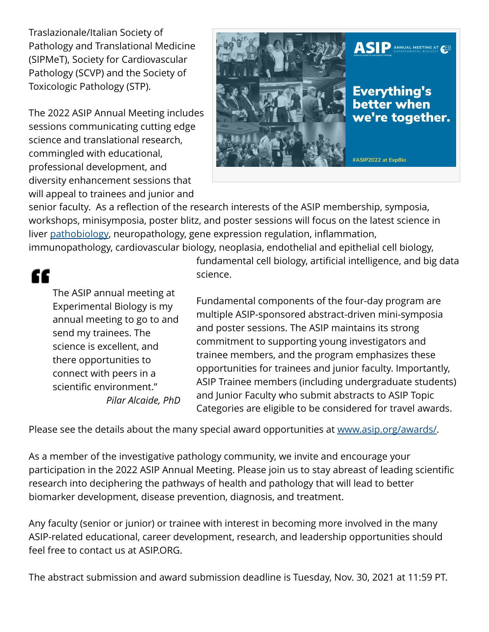Traslazionale/Italian Society of Pathology and Translational Medicine (SIPMeT), Society for Cardiovascular Pathology (SCVP) and the Society of Toxicologic Pathology (STP).

The 2022 ASIP Annual Meeting includes sessions communicating cutting edge science and translational research, commingled with educational, professional development, and diversity enhancement sessions that will appeal to trainees and junior and



senior faculty. As a reflection of the research interests of the ASIP membership, symposia, workshops, minisymposia, poster blitz, and poster sessions will focus on the latest science in liver [pathobiology](https://www.experimentalbiology.org/abstracts), neuropathology, gene expression regulation, inflammation, immunopathology, cardiovascular biology, neoplasia, endothelial and epithelial cell biology,

"

The ASIP annual meeting at Experimental Biology is my annual meeting to go to and send my trainees. The science is excellent, and there opportunities to connect with peers in a scientific environment." *Pilar Alcaide, PhD* fundamental cell biology, artificial intelligence, and big data science.

Fundamental components of the four-day program are multiple ASIP-sponsored abstract-driven mini-symposia and poster sessions. The ASIP maintains its strong commitment to supporting young investigators and trainee members, and the program emphasizes these opportunities for trainees and junior faculty. Importantly, ASIP Trainee members (including undergraduate students) and Junior Faculty who submit abstracts to ASIP Topic Categories are eligible to be considered for travel awards.

Please see the details about the many special award opportunities at [www.asip.org/awards/.](http://www.asip.org/awards/)

As a member of the investigative pathology community, we invite and encourage your participation in the 2022 ASIP Annual Meeting. Please join us to stay abreast of leading scientific research into deciphering the pathways of health and pathology that will lead to better biomarker development, disease prevention, diagnosis, and treatment.

Any faculty (senior or junior) or trainee with interest in becoming more involved in the many ASIP-related educational, career development, research, and leadership opportunities should feel free to contact us at ASIP.ORG.

The abstract submission and award submission deadline is Tuesday, Nov. 30, 2021 at 11:59 PT.